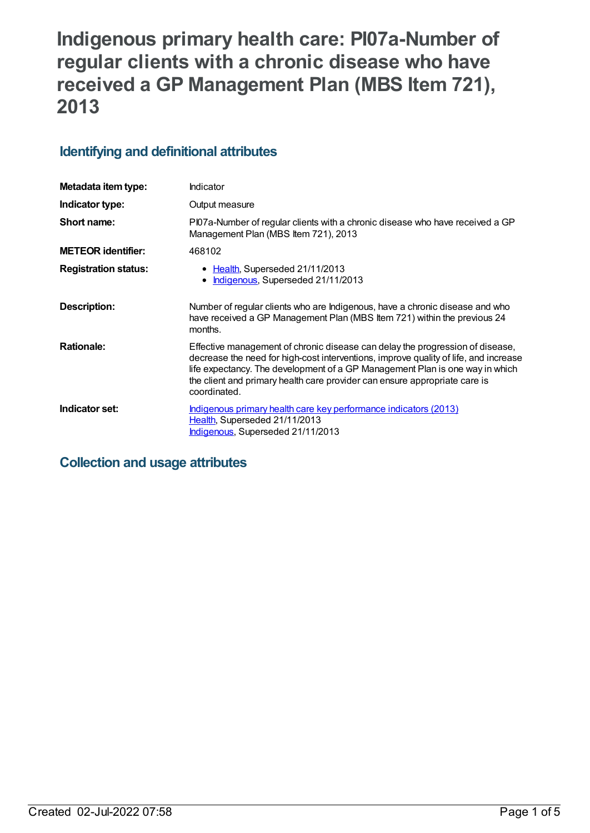# **Indigenous primary health care: PI07a-Number of regular clients with a chronic disease who have received a GP Management Plan (MBS Item 721), 2013**

## **Identifying and definitional attributes**

| Metadata item type:         | Indicator                                                                                                                                                                                                                                                                                                                                           |
|-----------------------------|-----------------------------------------------------------------------------------------------------------------------------------------------------------------------------------------------------------------------------------------------------------------------------------------------------------------------------------------------------|
| Indicator type:             | Output measure                                                                                                                                                                                                                                                                                                                                      |
| Short name:                 | Pl07a-Number of regular clients with a chronic disease who have received a GP<br>Management Plan (MBS Item 721), 2013                                                                                                                                                                                                                               |
| <b>METEOR identifier:</b>   | 468102                                                                                                                                                                                                                                                                                                                                              |
| <b>Registration status:</b> | • Health, Superseded 21/11/2013<br>Indigenous, Superseded 21/11/2013<br>$\bullet$                                                                                                                                                                                                                                                                   |
| Description:                | Number of regular clients who are Indigenous, have a chronic disease and who<br>have received a GP Management Plan (MBS Item 721) within the previous 24<br>months.                                                                                                                                                                                 |
| <b>Rationale:</b>           | Effective management of chronic disease can delay the progression of disease,<br>decrease the need for high-cost interventions, improve quality of life, and increase<br>life expectancy. The development of a GP Management Plan is one way in which<br>the client and primary health care provider can ensure appropriate care is<br>coordinated. |
| Indicator set:              | <u>Indigenous primary health care key performance indicators (2013)</u><br>Health, Superseded 21/11/2013<br>Indigenous, Superseded 21/11/2013                                                                                                                                                                                                       |

## **Collection and usage attributes**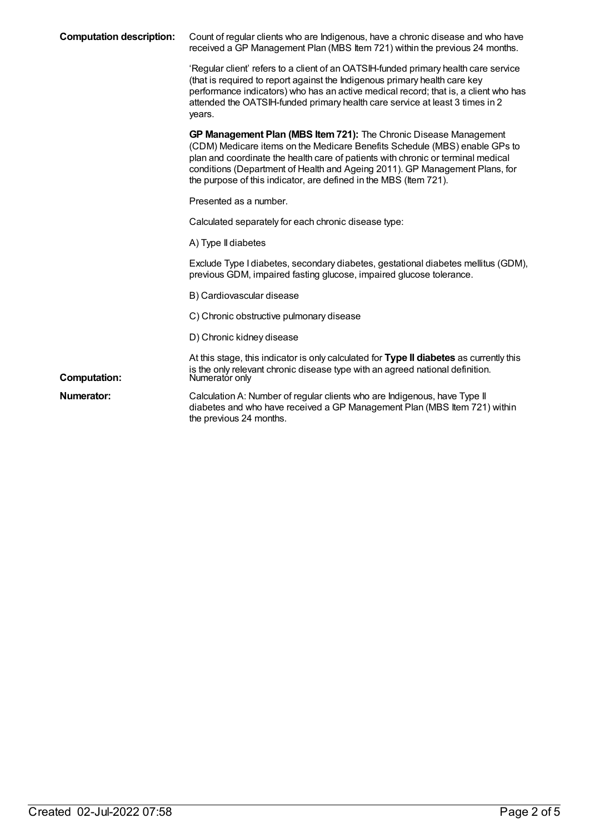| <b>Computation description:</b> | Count of regular clients who are Indigenous, have a chronic disease and who have<br>received a GP Management Plan (MBS Item 721) within the previous 24 months.                                                                                                                                                                                                                         |
|---------------------------------|-----------------------------------------------------------------------------------------------------------------------------------------------------------------------------------------------------------------------------------------------------------------------------------------------------------------------------------------------------------------------------------------|
|                                 | 'Regular client' refers to a client of an OATSIH-funded primary health care service<br>(that is required to report against the Indigenous primary health care key<br>performance indicators) who has an active medical record; that is, a client who has<br>attended the OATSIH-funded primary health care service at least 3 times in 2<br>years.                                      |
|                                 | GP Management Plan (MBS Item 721): The Chronic Disease Management<br>(CDM) Medicare items on the Medicare Benefits Schedule (MBS) enable GPs to<br>plan and coordinate the health care of patients with chronic or terminal medical<br>conditions (Department of Health and Ageing 2011). GP Management Plans, for<br>the purpose of this indicator, are defined in the MBS (Item 721). |
|                                 | Presented as a number.                                                                                                                                                                                                                                                                                                                                                                  |
|                                 | Calculated separately for each chronic disease type:                                                                                                                                                                                                                                                                                                                                    |
|                                 | A) Type II diabetes                                                                                                                                                                                                                                                                                                                                                                     |
|                                 | Exclude Type I diabetes, secondary diabetes, gestational diabetes mellitus (GDM),<br>previous GDM, impaired fasting glucose, impaired glucose tolerance.                                                                                                                                                                                                                                |
|                                 | B) Cardiovascular disease                                                                                                                                                                                                                                                                                                                                                               |
|                                 | C) Chronic obstructive pulmonary disease                                                                                                                                                                                                                                                                                                                                                |
|                                 | D) Chronic kidney disease                                                                                                                                                                                                                                                                                                                                                               |
| <b>Computation:</b>             | At this stage, this indicator is only calculated for Type II diabetes as currently this<br>is the only relevant chronic disease type with an agreed national definition.<br>Numerator only                                                                                                                                                                                              |
| Numerator:                      | Calculation A: Number of regular clients who are Indigenous, have Type II<br>diabetes and who have received a GP Management Plan (MBS Item 721) within<br>the previous 24 months.                                                                                                                                                                                                       |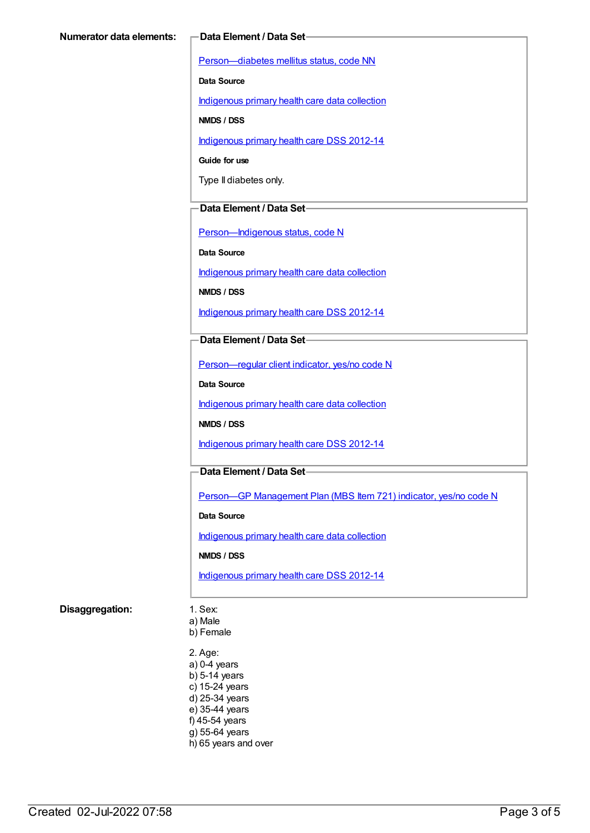[Person—diabetes](https://meteor.aihw.gov.au/content/270194) mellitus status, code NN

**Data Source**

[Indigenous](https://meteor.aihw.gov.au/content/430643) primary health care data collection

**NMDS / DSS**

[Indigenous](https://meteor.aihw.gov.au/content/430629) primary health care DSS 2012-14

**Guide for use**

Type II diabetes only.

#### **Data Element / Data Set**

[Person—Indigenous](https://meteor.aihw.gov.au/content/291036) status, code N

**Data Source**

[Indigenous](https://meteor.aihw.gov.au/content/430643) primary health care data collection

**NMDS / DSS**

[Indigenous](https://meteor.aihw.gov.au/content/430629) primary health care DSS 2012-14

#### **Data Element / Data Set**

[Person—regular](https://meteor.aihw.gov.au/content/436639) client indicator, yes/no code N

**Data Source**

[Indigenous](https://meteor.aihw.gov.au/content/430643) primary health care data collection

**NMDS / DSS**

[Indigenous](https://meteor.aihw.gov.au/content/430629) primary health care DSS 2012-14

#### **Data Element / Data Set**

Person—GP [Management](https://meteor.aihw.gov.au/content/441514) Plan (MBS Item 721) indicator, yes/no code N

**Data Source**

[Indigenous](https://meteor.aihw.gov.au/content/430643) primary health care data collection

**NMDS / DSS**

[Indigenous](https://meteor.aihw.gov.au/content/430629) primary health care DSS 2012-14

#### **Disaggregation:** 1. Sex:

a) Male

b) Female

2. Age: a) 0-4 years b) 5-14 years c) 15-24 years d) 25-34 years e) 35-44 years f) 45-54 years g) 55-64 years h) 65 years and over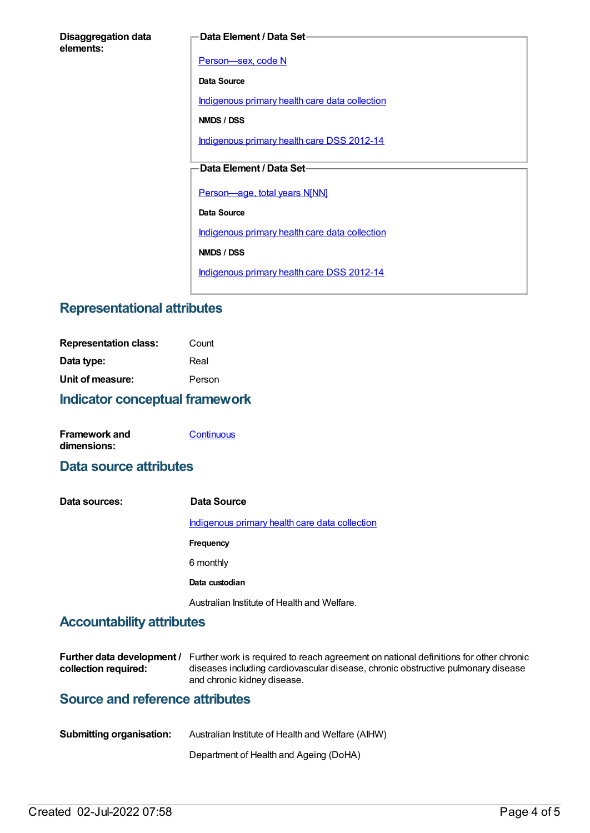#### **Data Element / Data Set**

[Person—sex,](https://meteor.aihw.gov.au/content/287316) code N

**Data Source**

[Indigenous](https://meteor.aihw.gov.au/content/430643) primary health care data collection

**NMDS / DSS**

[Indigenous](https://meteor.aihw.gov.au/content/430629) primary health care DSS 2012-14

### **Data Element / Data Set**

[Person—age,](https://meteor.aihw.gov.au/content/303794) total years N[NN]

**Data Source**

[Indigenous](https://meteor.aihw.gov.au/content/430643) primary health care data collection

**NMDS / DSS**

[Indigenous](https://meteor.aihw.gov.au/content/430629) primary health care DSS 2012-14

## **Representational attributes**

| <b>Indicator conceptual framework</b> |        |  |
|---------------------------------------|--------|--|
| Unit of measure:                      | Person |  |
| Data type:                            | Real   |  |
| <b>Representation class:</b>          | Count  |  |

| <b>Framework and</b> | Continuous |
|----------------------|------------|
| dimensions:          |            |

## **Data source attributes**

**Data sources: Data Source** [Indigenous](https://meteor.aihw.gov.au/content/430643) primary health care data collection **Frequency** 6 monthly **Data custodian** Australian Institute of Health and Welfare.

## **Accountability attributes**

|                      | <b>Further data development</b> / Further work is required to reach agreement on national definitions for other chronic |
|----------------------|-------------------------------------------------------------------------------------------------------------------------|
| collection required: | diseases including cardiovascular disease, chronic obstructive pulmonary disease                                        |
|                      | and chronic kidney disease.                                                                                             |

## **Source and reference attributes**

| <b>Submitting organisation:</b> | Australian Institute of Health and Welfare (AIHW) |
|---------------------------------|---------------------------------------------------|
|                                 |                                                   |

Department of Health and Ageing (DoHA)